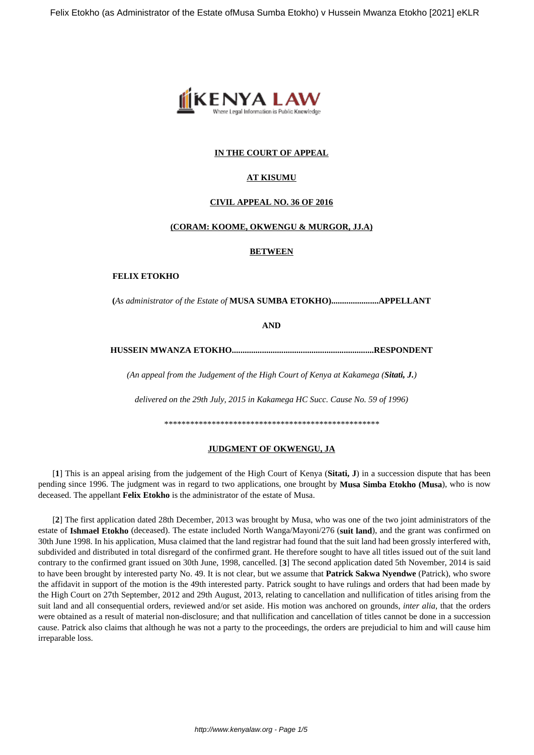

# **IN THE COURT OF APPEAL**

# **AT KISUMU**

#### **CIVIL APPEAL NO. 36 OF 2016**

## **(CORAM: KOOME, OKWENGU & MURGOR, JJ.A)**

#### **BETWEEN**

#### **FELIX ETOKHO**

**(***As administrator of the Estate of* **MUSA SUMBA ETOKHO)......................APPELLANT**

**AND**

**HUSSEIN MWANZA ETOKHO..................................................................RESPONDENT**

*(An appeal from the Judgement of the High Court of Kenya at Kakamega (Sitati, J.)*

*delivered on the 29th July, 2015 in Kakamega HC Succ. Cause No. 59 of 1996)*

*\*\*\*\*\*\*\*\*\*\*\*\*\*\*\*\*\*\*\*\*\*\*\*\*\*\*\*\*\*\*\*\*\*\*\*\*\*\*\*\*\*\*\*\*\*\*\*\*\*\**

## **JUDGMENT OF OKWENGU, JA**

[**1**] This is an appeal arising from the judgement of the High Court of Kenya (**Sitati, J**) in a succession dispute that has been pending since 1996. The judgment was in regard to two applications, one brought by **Musa Simba Etokho (Musa**), who is now deceased. The appellant **Felix Etokho** is the administrator of the estate of Musa.

[**2**] The first application dated 28th December, 2013 was brought by Musa, who was one of the two joint administrators of the estate of **Ishmael Etokho** (deceased). The estate included North Wanga/Mayoni/276 (**suit land**), and the grant was confirmed on 30th June 1998. In his application, Musa claimed that the land registrar had found that the suit land had been grossly interfered with, subdivided and distributed in total disregard of the confirmed grant. He therefore sought to have all titles issued out of the suit land contrary to the confirmed grant issued on 30th June, 1998, cancelled. [**3**] The second application dated 5th November, 2014 is said to have been brought by interested party No. 49. It is not clear, but we assume that **Patrick Sakwa Nyendwe** (Patrick), who swore the affidavit in support of the motion is the 49th interested party. Patrick sought to have rulings and orders that had been made by the High Court on 27th September, 2012 and 29th August, 2013, relating to cancellation and nullification of titles arising from the suit land and all consequential orders, reviewed and/or set aside. His motion was anchored on grounds, *inter alia*, that the orders were obtained as a result of material non-disclosure; and that nullification and cancellation of titles cannot be done in a succession cause. Patrick also claims that although he was not a party to the proceedings, the orders are prejudicial to him and will cause him irreparable loss.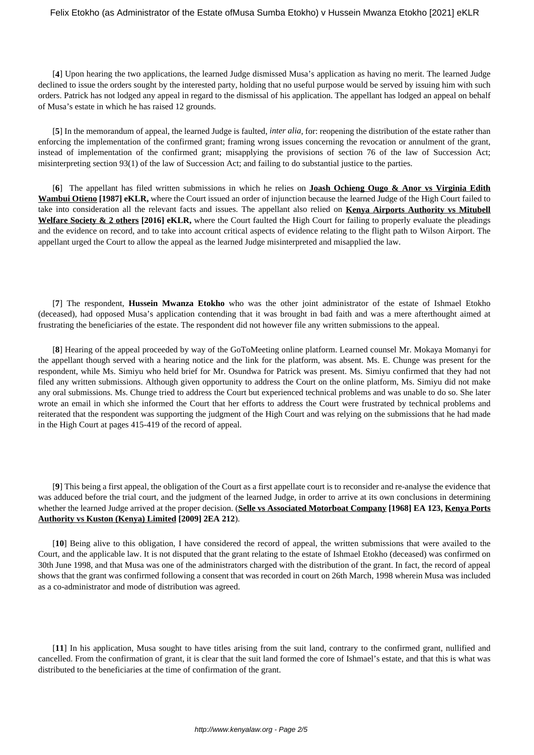[**4**] Upon hearing the two applications, the learned Judge dismissed Musa's application as having no merit. The learned Judge declined to issue the orders sought by the interested party, holding that no useful purpose would be served by issuing him with such orders. Patrick has not lodged any appeal in regard to the dismissal of his application. The appellant has lodged an appeal on behalf of Musa's estate in which he has raised 12 grounds.

[**5**] In the memorandum of appeal, the learned Judge is faulted, *inter alia*, for: reopening the distribution of the estate rather than enforcing the implementation of the confirmed grant; framing wrong issues concerning the revocation or annulment of the grant, instead of implementation of the confirmed grant; misapplying the provisions of section 76 of the law of Succession Act; misinterpreting section 93(1) of the law of Succession Act; and failing to do substantial justice to the parties.

[**6**] The appellant has filed written submissions in which he relies on **Joash Ochieng Ougo & Anor vs Virginia Edith Wambui Otieno [1987] eKLR,** where the Court issued an order of injunction because the learned Judge of the High Court failed to take into consideration all the relevant facts and issues. The appellant also relied on **Kenya Airports Authority vs Mitubell Welfare Society & 2 others [2016] eKLR,** where the Court faulted the High Court for failing to properly evaluate the pleadings and the evidence on record, and to take into account critical aspects of evidence relating to the flight path to Wilson Airport. The appellant urged the Court to allow the appeal as the learned Judge misinterpreted and misapplied the law.

[**7**] The respondent, **Hussein Mwanza Etokho** who was the other joint administrator of the estate of Ishmael Etokho (deceased), had opposed Musa's application contending that it was brought in bad faith and was a mere afterthought aimed at frustrating the beneficiaries of the estate. The respondent did not however file any written submissions to the appeal.

[**8**] Hearing of the appeal proceeded by way of the GoToMeeting online platform. Learned counsel Mr. Mokaya Momanyi for the appellant though served with a hearing notice and the link for the platform, was absent. Ms. E. Chunge was present for the respondent, while Ms. Simiyu who held brief for Mr. Osundwa for Patrick was present. Ms. Simiyu confirmed that they had not filed any written submissions. Although given opportunity to address the Court on the online platform, Ms. Simiyu did not make any oral submissions. Ms. Chunge tried to address the Court but experienced technical problems and was unable to do so. She later wrote an email in which she informed the Court that her efforts to address the Court were frustrated by technical problems and reiterated that the respondent was supporting the judgment of the High Court and was relying on the submissions that he had made in the High Court at pages 415-419 of the record of appeal.

[**9**] This being a first appeal, the obligation of the Court as a first appellate court is to reconsider and re-analyse the evidence that was adduced before the trial court, and the judgment of the learned Judge, in order to arrive at its own conclusions in determining whether the learned Judge arrived at the proper decision. (**Selle vs Associated Motorboat Company [1968] EA 123, Kenya Ports Authority vs Kuston (Kenya) Limited [2009] 2EA 212**).

[**10**] Being alive to this obligation, I have considered the record of appeal, the written submissions that were availed to the Court, and the applicable law. It is not disputed that the grant relating to the estate of Ishmael Etokho (deceased) was confirmed on 30th June 1998, and that Musa was one of the administrators charged with the distribution of the grant. In fact, the record of appeal shows that the grant was confirmed following a consent that was recorded in court on 26th March, 1998 wherein Musa was included as a co-administrator and mode of distribution was agreed.

[**11**] In his application, Musa sought to have titles arising from the suit land, contrary to the confirmed grant, nullified and cancelled. From the confirmation of grant, it is clear that the suit land formed the core of Ishmael's estate, and that this is what was distributed to the beneficiaries at the time of confirmation of the grant.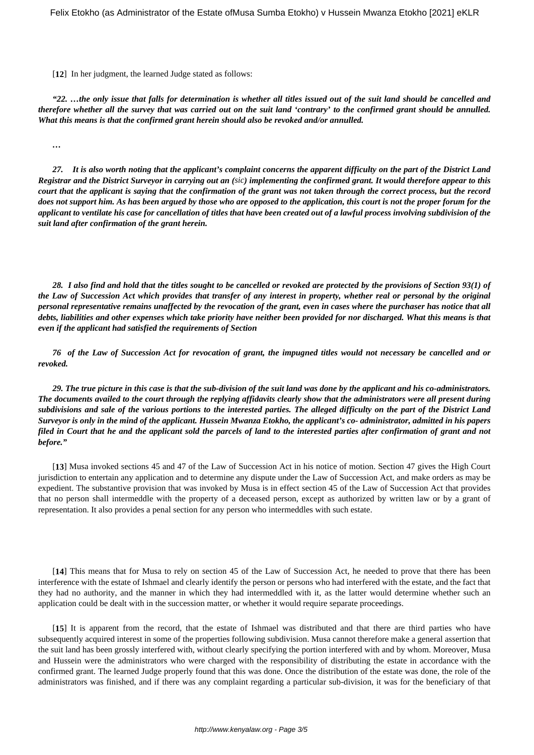[12] In her judgment, the learned Judge stated as follows:

*"22. …the only issue that falls for determination is whether all titles issued out of the suit land should be cancelled and therefore whether all the survey that was carried out on the suit land 'contrary' to the confirmed grant should be annulled. What this means is that the confirmed grant herein should also be revoked and/or annulled.*

*…*

*27. It is also worth noting that the applicant's complaint concerns the apparent difficulty on the part of the District Land Registrar and the District Surveyor in carrying out an (sic) implementing the confirmed grant. It would therefore appear to this court that the applicant is saying that the confirmation of the grant was not taken through the correct process, but the record does not support him. As has been argued by those who are opposed to the application, this court is not the proper forum for the applicant to ventilate his case for cancellation of titles that have been created out of a lawful process involving subdivision of the suit land after confirmation of the grant herein.*

*28. I also find and hold that the titles sought to be cancelled or revoked are protected by the provisions of Section 93(1) of the Law of Succession Act which provides that transfer of any interest in property, whether real or personal by the original personal representative remains unaffected by the revocation of the grant, even in cases where the purchaser has notice that all debts, liabilities and other expenses which take priority have neither been provided for nor discharged. What this means is that even if the applicant had satisfied the requirements of Section*

*76 of the Law of Succession Act for revocation of grant, the impugned titles would not necessary be cancelled and or revoked.*

*29. The true picture in this case is that the sub-division of the suit land was done by the applicant and his co-administrators. The documents availed to the court through the replying affidavits clearly show that the administrators were all present during subdivisions and sale of the various portions to the interested parties. The alleged difficulty on the part of the District Land Surveyor is only in the mind of the applicant. Hussein Mwanza Etokho, the applicant's co- administrator, admitted in his papers filed in Court that he and the applicant sold the parcels of land to the interested parties after confirmation of grant and not before."*

[**13**] Musa invoked sections 45 and 47 of the Law of Succession Act in his notice of motion. Section 47 gives the High Court jurisdiction to entertain any application and to determine any dispute under the Law of Succession Act, and make orders as may be expedient. The substantive provision that was invoked by Musa is in effect section 45 of the Law of Succession Act that provides that no person shall intermeddle with the property of a deceased person, except as authorized by written law or by a grant of representation. It also provides a penal section for any person who intermeddles with such estate.

[**14**] This means that for Musa to rely on section 45 of the Law of Succession Act, he needed to prove that there has been interference with the estate of Ishmael and clearly identify the person or persons who had interfered with the estate, and the fact that they had no authority, and the manner in which they had intermeddled with it, as the latter would determine whether such an application could be dealt with in the succession matter, or whether it would require separate proceedings.

[**15**] It is apparent from the record, that the estate of Ishmael was distributed and that there are third parties who have subsequently acquired interest in some of the properties following subdivision. Musa cannot therefore make a general assertion that the suit land has been grossly interfered with, without clearly specifying the portion interfered with and by whom. Moreover, Musa and Hussein were the administrators who were charged with the responsibility of distributing the estate in accordance with the confirmed grant. The learned Judge properly found that this was done. Once the distribution of the estate was done, the role of the administrators was finished, and if there was any complaint regarding a particular sub-division, it was for the beneficiary of that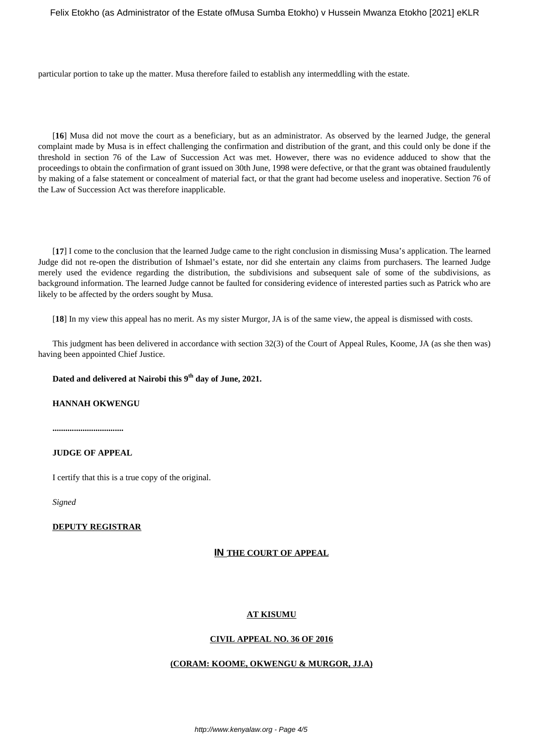Felix Etokho (as Administrator of the Estate of Musa Sumba Etokho) v Hussein Mwanza Etokho [2021] eKLR

particular portion to take up the matter. Musa therefore failed to establish any intermeddling with the estate.

[**16**] Musa did not move the court as a beneficiary, but as an administrator. As observed by the learned Judge, the general complaint made by Musa is in effect challenging the confirmation and distribution of the grant, and this could only be done if the threshold in section 76 of the Law of Succession Act was met. However, there was no evidence adduced to show that the proceedings to obtain the confirmation of grant issued on 30th June, 1998 were defective, or that the grant was obtained fraudulently by making of a false statement or concealment of material fact, or that the grant had become useless and inoperative. Section 76 of the Law of Succession Act was therefore inapplicable.

[**17**] I come to the conclusion that the learned Judge came to the right conclusion in dismissing Musa's application. The learned Judge did not re-open the distribution of Ishmael's estate, nor did she entertain any claims from purchasers. The learned Judge merely used the evidence regarding the distribution, the subdivisions and subsequent sale of some of the subdivisions, as background information. The learned Judge cannot be faulted for considering evidence of interested parties such as Patrick who are likely to be affected by the orders sought by Musa.

[**18**] In my view this appeal has no merit. As my sister Murgor, JA is of the same view, the appeal is dismissed with costs.

This judgment has been delivered in accordance with section 32(3) of the Court of Appeal Rules, Koome, JA (as she then was) having been appointed Chief Justice.

**Dated and delivered at Nairobi this 9th day of June, 2021.**

## **HANNAH OKWENGU**

**.................................**

#### **JUDGE OF APPEAL**

I certify that this is a true copy of the original.

*Signed*

# **DEPUTY REGISTRAR**

## **IN THE COURT OF APPEAL**

# **AT KISUMU**

### **CIVIL APPEAL NO. 36 OF 2016**

### **(CORAM: KOOME, OKWENGU & MURGOR, JJ.A)**